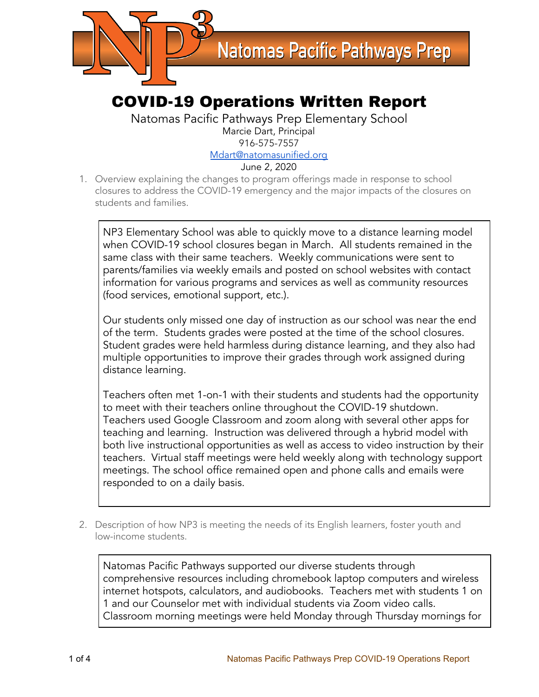

## COVID-19 Operations Written Report

Natomas Pacific Pathways Prep Elementary School Marcie Dart, Principal 916-575-7557 [Mdart@natomasunified.org](mailto:Mdart@natomasunified.org)

June 2, 2020

1. Overview explaining the changes to program offerings made in response to school closures to address the COVID-19 emergency and the major impacts of the closures on students and families.

NP3 Elementary School was able to quickly move to a distance learning model when COVID-19 school closures began in March. All students remained in the same class with their same teachers. Weekly communications were sent to parents/families via weekly emails and posted on school websites with contact information for various programs and services as well as community resources (food services, emotional support, etc.).

Our students only missed one day of instruction as our school was near the end of the term. Students grades were posted at the time of the school closures. Student grades were held harmless during distance learning, and they also had multiple opportunities to improve their grades through work assigned during distance learning.

Teachers often met 1-on-1 with their students and students had the opportunity to meet with their teachers online throughout the COVID-19 shutdown. Teachers used Google Classroom and zoom along with several other apps for teaching and learning. Instruction was delivered through a hybrid model with both live instructional opportunities as well as access to video instruction by their teachers. Virtual staff meetings were held weekly along with technology support meetings. The school office remained open and phone calls and emails were responded to on a daily basis.

2. Description of how NP3 is meeting the needs of its English learners, foster youth and low-income students.

Natomas Pacific Pathways supported our diverse students through comprehensive resources including chromebook laptop computers and wireless internet hotspots, calculators, and audiobooks. Teachers met with students 1 on 1 and our Counselor met with individual students via Zoom video calls. Classroom morning meetings were held Monday through Thursday mornings for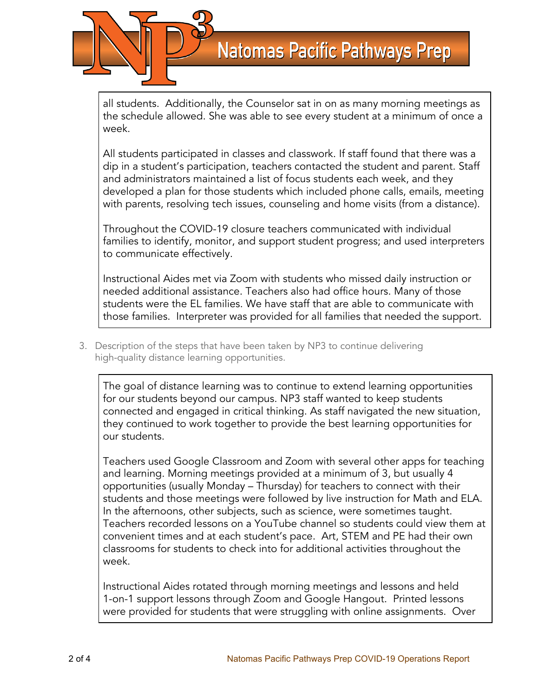

all students. Additionally, the Counselor sat in on as many morning meetings as the schedule allowed. She was able to see every student at a minimum of once a week.

All students participated in classes and classwork. If staff found that there was a dip in a student's participation, teachers contacted the student and parent. Staff and administrators maintained a list of focus students each week, and they developed a plan for those students which included phone calls, emails, meeting with parents, resolving tech issues, counseling and home visits (from a distance).

Throughout the COVID-19 closure teachers communicated with individual families to identify, monitor, and support student progress; and used interpreters to communicate effectively.

Instructional Aides met via Zoom with students who missed daily instruction or needed additional assistance. Teachers also had office hours. Many of those students were the EL families. We have staff that are able to communicate with those families. Interpreter was provided for all families that needed the support.

3. Description of the steps that have been taken by NP3 to continue delivering high-quality distance learning opportunities.

The goal of distance learning was to continue to extend learning opportunities for our students beyond our campus. NP3 staff wanted to keep students connected and engaged in critical thinking. As staff navigated the new situation, they continued to work together to provide the best learning opportunities for our students.

Teachers used Google Classroom and Zoom with several other apps for teaching and learning. Morning meetings provided at a minimum of 3, but usually 4 opportunities (usually Monday – Thursday) for teachers to connect with their students and those meetings were followed by live instruction for Math and ELA. In the afternoons, other subjects, such as science, were sometimes taught. Teachers recorded lessons on a YouTube channel so students could view them at convenient times and at each student's pace. Art, STEM and PE had their own classrooms for students to check into for additional activities throughout the week.

Instructional Aides rotated through morning meetings and lessons and held 1-on-1 support lessons through Zoom and Google Hangout. Printed lessons were provided for students that were struggling with online assignments. Over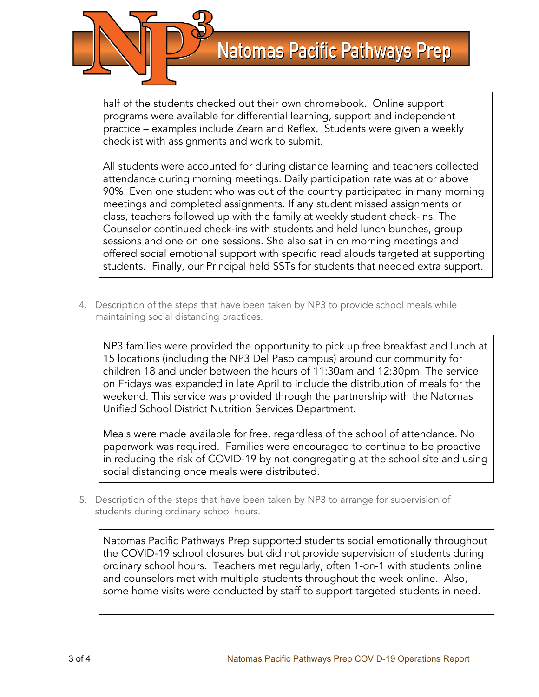

half of the students checked out their own chromebook. Online support programs were available for differential learning, support and independent practice – examples include Zearn and Reflex. Students were given a weekly checklist with assignments and work to submit.

All students were accounted for during distance learning and teachers collected attendance during morning meetings. Daily participation rate was at or above 90%. Even one student who was out of the country participated in many morning meetings and completed assignments. If any student missed assignments or class, teachers followed up with the family at weekly student check-ins. The Counselor continued check-ins with students and held lunch bunches, group sessions and one on one sessions. She also sat in on morning meetings and offered social emotional support with specific read alouds targeted at supporting students. Finally, our Principal held SSTs for students that needed extra support.

4. Description of the steps that have been taken by NP3 to provide school meals while maintaining social distancing practices.

NP3 families were provided the opportunity to pick up free breakfast and lunch at 15 locations (including the NP3 Del Paso campus) around our community for children 18 and under between the hours of 11:30am and 12:30pm. The service on Fridays was expanded in late April to include the distribution of meals for the weekend. This service was provided through the partnership with the Natomas Unified School District Nutrition Services Department.

Meals were made available for free, regardless of the school of attendance. No paperwork was required. Families were encouraged to continue to be proactive in reducing the risk of COVID-19 by not congregating at the school site and using social distancing once meals were distributed.

5. Description of the steps that have been taken by NP3 to arrange for supervision of students during ordinary school hours.

Natomas Pacific Pathways Prep supported students social emotionally throughout the COVID-19 school closures but did not provide supervision of students during ordinary school hours. Teachers met regularly, often 1-on-1 with students online and counselors met with multiple students throughout the week online. Also, some home visits were conducted by staff to support targeted students in need.